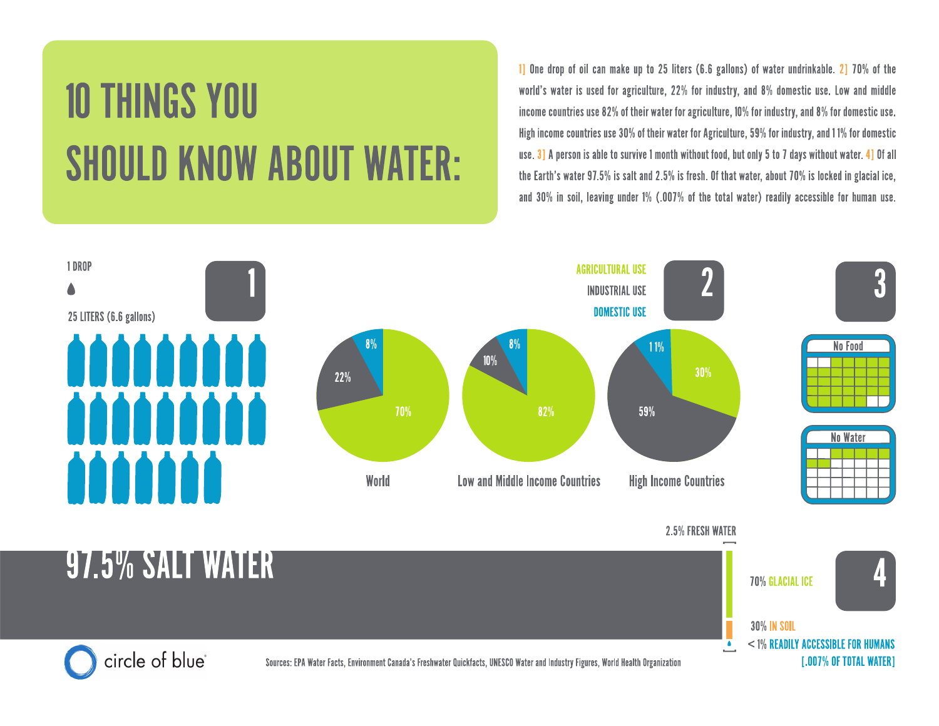## **10 THINGS YOU SHOULD KNOW ABOUT WATER:**

1] One drop of oil can make up to 25 liters (6.6 gallons) of water undrinkable. 2] 70% of the world's water is used for agriculture, 22% for industry, and 8% domestic use. Low and middle income countries use 82% of their water for agriculture, 10% for industry, and 8% for domestic use. High income countries use 30% of their water for Agriculture, 59% for industry, and 11% for domestic use. 3] A person is able to survive 1 month without food, but only 5 to 7 days without water. 4] Of all the Earth's water 97.5% is salt and 2.5% is fresh. Of that water, about 70% is locked in glacial ice, and 30% in soil, leaving under 1% (.007% of the total water) readily accessible for human use.